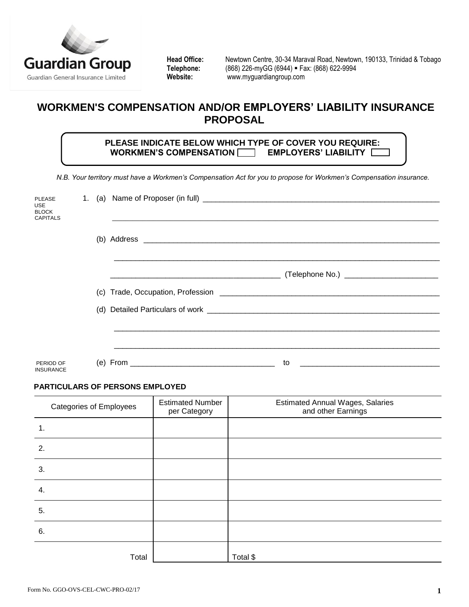

Head Office: Newtown Centre, 30-34 Maraval Road, Newtown, 190133, Trinidad & Tobago<br>Telephone: (868) 226-myGG (6944) = Fax: (868) 622-9994 **Telephone:** (868) 226-myGG (6944) **Fax: (868) 622-9994**<br>
Website: www.myquardiangroup.com **Website:** [www.myguardiangroup.com](http://www.myguardiangroup.com/)

# **WORKMEN'S COMPENSATION AND/OR EMPLOYERS' LIABILITY INSURANCE PROPOSAL**

 **PLEASE INDICATE BELOW WHICH TYPE OF COVER YOU REQUIRE:**  WORKMEN'S COMPENSATION **EMPLOYERS' LIABILITY** 

 *N.B. Your territory must have a Workmen's Compensation Act for you to propose for Workmen's Compensation insurance.*

| <b>PLEASE</b><br><b>USE</b><br><b>BLOCK</b><br><b>CAPITALS</b> |  |                                                                                                                      |                                            |
|----------------------------------------------------------------|--|----------------------------------------------------------------------------------------------------------------------|--------------------------------------------|
|                                                                |  |                                                                                                                      |                                            |
|                                                                |  | <u> 2002 - Jan James James James James James James James James James James James James James James James James J</u> | (Telephone No.) __________________________ |
|                                                                |  |                                                                                                                      |                                            |
|                                                                |  |                                                                                                                      |                                            |
|                                                                |  |                                                                                                                      |                                            |
|                                                                |  |                                                                                                                      |                                            |
| PERIOD OF<br><b>INSURANCE</b>                                  |  |                                                                                                                      | to                                         |

### **PARTICULARS OF PERSONS EMPLOYED**

| <b>Categories of Employees</b> | <b>Estimated Number</b><br>per Category | <b>Estimated Annual Wages, Salaries</b><br>and other Earnings |
|--------------------------------|-----------------------------------------|---------------------------------------------------------------|
| 1.                             |                                         |                                                               |
| 2.                             |                                         |                                                               |
| 3.                             |                                         |                                                               |
| 4.                             |                                         |                                                               |
| 5.                             |                                         |                                                               |
| 6.                             |                                         |                                                               |
| Total                          |                                         | Total \$                                                      |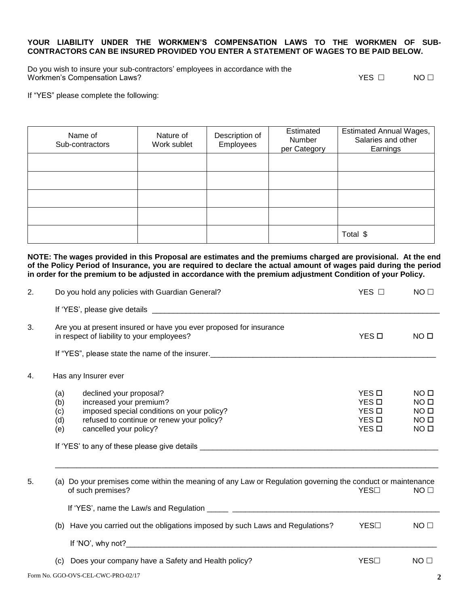#### **YOUR LIABILITY UNDER THE WORKMEN'S COMPENSATION LAWS TO THE WORKMEN OF SUB-CONTRACTORS CAN BE INSURED PROVIDED YOU ENTER A STATEMENT OF WAGES TO BE PAID BELOW.**

Do you wish to insure your sub-contractors' employees in accordance with the Workmen's Compensation Laws?  $\Box$  NO  $\Box$ 

If "YES" please complete the following:

Name of Sub-contractors Nature of Work sublet Description of Employees Estimated **Number** per Category Estimated Annual Wages, Salaries and other Earnings Total \$

**NOTE: The wages provided in this Proposal are estimates and the premiums charged are provisional. At the end of the Policy Period of Insurance, you are required to declare the actual amount of wages paid during the period in order for the premium to be adjusted in accordance with the premium adjustment Condition of your Policy.**

| 2. | Do you hold any policies with Guardian General?                                                                                                                                                            | YES □                                                          | NO <sub>1</sub>                                                                               |
|----|------------------------------------------------------------------------------------------------------------------------------------------------------------------------------------------------------------|----------------------------------------------------------------|-----------------------------------------------------------------------------------------------|
|    |                                                                                                                                                                                                            |                                                                |                                                                                               |
| 3. | Are you at present insured or have you ever proposed for insurance<br>in respect of liability to your employees?                                                                                           | YES <sub>D</sub>                                               | NO <sub>II</sub>                                                                              |
| 4. | Has any Insurer ever                                                                                                                                                                                       |                                                                |                                                                                               |
|    | declined your proposal?<br>(a)<br>increased your premium?<br>(b)<br>imposed special conditions on your policy?<br>(c)<br>refused to continue or renew your policy?<br>(d)<br>(e)<br>cancelled your policy? | YES <b>D</b><br>YES O<br>YES <b>D</b><br>YES O<br>YES <b>D</b> | NO <sub>II</sub><br>NO <sub>II</sub><br>NO <sub>0</sub><br>NO <sub>0</sub><br>NO <sub>0</sub> |
| 5. | (a) Do your premises come within the meaning of any Law or Regulation governing the conduct or maintenance<br>of such premises?                                                                            | YES□                                                           | NO <sub>1</sub>                                                                               |
|    | (b) Have you carried out the obligations imposed by such Laws and Regulations?                                                                                                                             | YES⊟                                                           | NO <sub>1</sub>                                                                               |
|    | Does your company have a Safety and Health policy?<br>(c)                                                                                                                                                  | YES□                                                           | NO <sub>1</sub>                                                                               |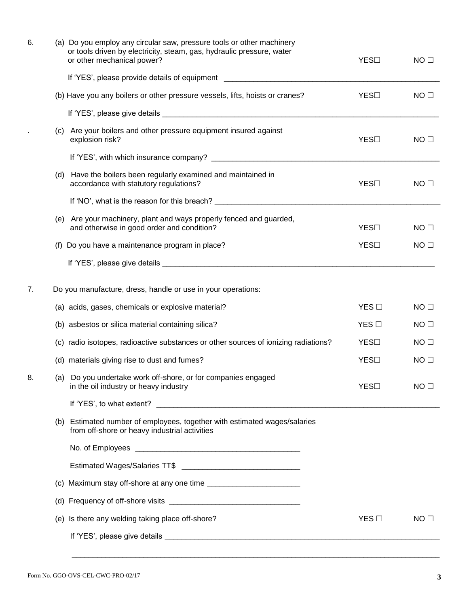| 6. | (a) Do you employ any circular saw, pressure tools or other machinery<br>or tools driven by electricity, steam, gas, hydraulic pressure, water<br>or other mechanical power? | YES□ | NO <sub>1</sub> |
|----|------------------------------------------------------------------------------------------------------------------------------------------------------------------------------|------|-----------------|
|    |                                                                                                                                                                              |      |                 |
|    | (b) Have you any boilers or other pressure vessels, lifts, hoists or cranes?                                                                                                 | YES□ | NO <sub>1</sub> |
|    |                                                                                                                                                                              |      |                 |
|    | (c) Are your boilers and other pressure equipment insured against<br>explosion risk?                                                                                         | YES□ | NO <sub>1</sub> |
|    |                                                                                                                                                                              |      |                 |
|    | (d) Have the boilers been regularly examined and maintained in<br>accordance with statutory regulations?                                                                     | YES□ | NO <sub>1</sub> |
|    |                                                                                                                                                                              |      |                 |
|    | (e) Are your machinery, plant and ways properly fenced and guarded,<br>and otherwise in good order and condition?                                                            | YES□ | NO <sub>1</sub> |
|    | (f) Do you have a maintenance program in place?                                                                                                                              | YES□ | NO <sub>1</sub> |
|    |                                                                                                                                                                              |      |                 |
|    |                                                                                                                                                                              |      |                 |
| 7. | Do you manufacture, dress, handle or use in your operations:                                                                                                                 |      |                 |
|    | (a) acids, gases, chemicals or explosive material?                                                                                                                           | YES  | NO <sub>1</sub> |
|    | (b) asbestos or silica material containing silica?                                                                                                                           | YES  | NO <sub>1</sub> |
|    | (c) radio isotopes, radioactive substances or other sources of ionizing radiations?                                                                                          | YES□ | NO <sub>1</sub> |
|    | (d) materials giving rise to dust and fumes?                                                                                                                                 | YES□ | NO <sub>1</sub> |
| 8. | (a) Do you undertake work off-shore, or for companies engaged<br>in the oil industry or heavy industry                                                                       | YES□ | NO <sub>1</sub> |
|    |                                                                                                                                                                              |      |                 |
|    | (b) Estimated number of employees, together with estimated wages/salaries<br>from off-shore or heavy industrial activities                                                   |      |                 |
|    |                                                                                                                                                                              |      |                 |
|    |                                                                                                                                                                              |      |                 |
|    |                                                                                                                                                                              |      |                 |
|    |                                                                                                                                                                              |      |                 |
|    | (e) Is there any welding taking place off-shore?                                                                                                                             | YES  | NO <sub>1</sub> |
|    |                                                                                                                                                                              |      |                 |
|    |                                                                                                                                                                              |      |                 |

\_\_\_\_\_\_\_\_\_\_\_\_\_\_\_\_\_\_\_\_\_\_\_\_\_\_\_\_\_\_\_\_\_\_\_\_\_\_\_\_\_\_\_\_\_\_\_\_\_\_\_\_\_\_\_\_\_\_\_\_\_\_\_\_\_\_\_\_\_\_\_\_\_\_\_\_\_\_\_\_\_\_\_\_\_\_\_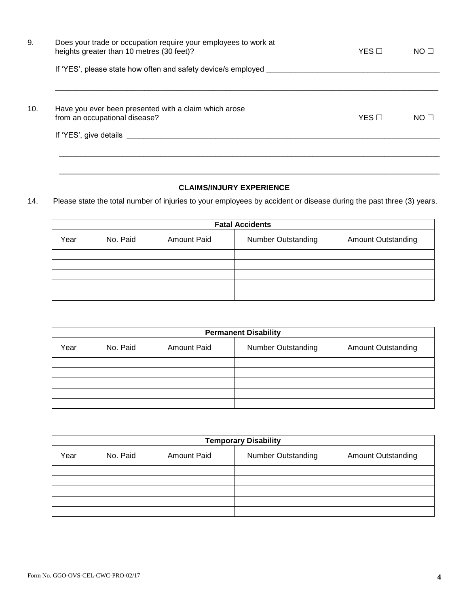| 9.  | Does your trade or occupation require your employees to work at<br>heights greater than 10 metres (30 feet)? | $YES$ $\Box$ | NO <sub>1</sub> |
|-----|--------------------------------------------------------------------------------------------------------------|--------------|-----------------|
|     | If 'YES', please state how often and safety device/s employed _                                              |              |                 |
| 10. | Have you ever been presented with a claim which arose<br>from an occupational disease?                       | $YES$ $\Box$ | NO <sub>1</sub> |
|     | If 'YES', give details                                                                                       |              |                 |
|     |                                                                                                              |              |                 |

## **CLAIMS/INJURY EXPERIENCE**

\_\_\_\_\_\_\_\_\_\_\_\_\_\_\_\_\_\_\_\_\_\_\_\_\_\_\_\_\_\_\_\_\_\_\_\_\_\_\_\_\_\_\_\_\_\_\_\_\_\_\_\_\_\_\_\_\_\_\_\_\_\_\_\_\_\_\_\_\_\_\_\_\_\_\_\_\_\_\_\_\_\_\_\_\_\_\_\_\_\_

14. Please state the total number of injuries to your employees by accident or disease during the past three (3) years.

| <b>Fatal Accidents</b> |          |                    |                           |                           |  |  |
|------------------------|----------|--------------------|---------------------------|---------------------------|--|--|
| Year                   | No. Paid | <b>Amount Paid</b> | <b>Number Outstanding</b> | <b>Amount Outstanding</b> |  |  |
|                        |          |                    |                           |                           |  |  |
|                        |          |                    |                           |                           |  |  |
|                        |          |                    |                           |                           |  |  |
|                        |          |                    |                           |                           |  |  |
|                        |          |                    |                           |                           |  |  |

| <b>Permanent Disability</b> |          |                    |                           |                           |  |  |
|-----------------------------|----------|--------------------|---------------------------|---------------------------|--|--|
| Year                        | No. Paid | <b>Amount Paid</b> | <b>Number Outstanding</b> | <b>Amount Outstanding</b> |  |  |
|                             |          |                    |                           |                           |  |  |
|                             |          |                    |                           |                           |  |  |
|                             |          |                    |                           |                           |  |  |
|                             |          |                    |                           |                           |  |  |
|                             |          |                    |                           |                           |  |  |

| <b>Temporary Disability</b> |          |                    |                           |                           |  |
|-----------------------------|----------|--------------------|---------------------------|---------------------------|--|
| Year                        | No. Paid | <b>Amount Paid</b> | <b>Number Outstanding</b> | <b>Amount Outstanding</b> |  |
|                             |          |                    |                           |                           |  |
|                             |          |                    |                           |                           |  |
|                             |          |                    |                           |                           |  |
|                             |          |                    |                           |                           |  |
|                             |          |                    |                           |                           |  |